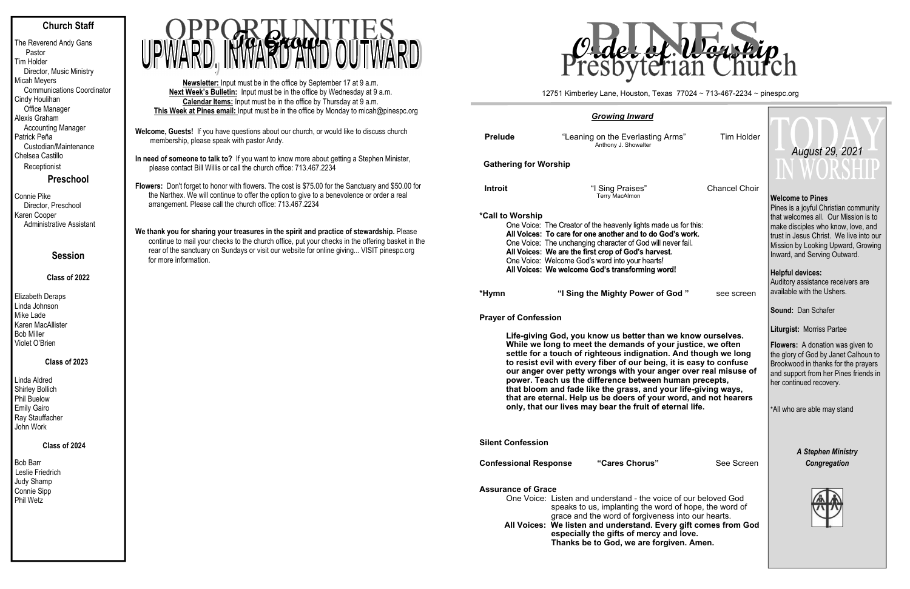# **Church Staff**

The Reverend Andy Gans Pastor Tim Holder Director, Music Ministry Micah Meyers Communications Coordinator Cindy Houlihan Office Manager Alexis Graham Accounting Manager Patrick Peña Custodian/Maintenance Chelsea Castillo Receptionist

**Preschool**

Connie Pike Director, Preschool Karen Cooper Administrative Assistant

# **Session**

# **Class of 2022**

Elizabeth Deraps Linda Johnson Mike Lade Karen MacAllister Bob Miller Violet O'Brien

### **Class of 2023**

Linda Aldred Shirley Bollich Phil Buelow Emily Gairo Ray Stauffacher John Work

# **Class of 2024**

Bob Barr Leslie Friedrich Judy Shamp Connie Sipp Phil Wetz

- **Welcome, Guests!** If you have questions about our church, or would like to discuss church membership, please speak with pastor Andy.
- **In need of someone to talk to?** If you want to know more about getting a Stephen Minister, please contact Bill Willis or call the church office: 713.467.2234
- **Flowers:** Don't forget to honor with flowers. The cost is \$75.00 for the Sanctuary and \$50.00 for the Narthex. We will continue to offer the option to give to a benevolence or order a real arrangement. Please call the church office: 713.467.2234
- We thank you for sharing your treasures in the spirit and practice of stewardship. Please continue to mail your checks to the church office, put your checks in the offering basket in the rear of the sanctuary on Sundays or visit our website for online giving... VISIT pinespc.org for more information.

**Newsletter:** Input must be in the office by September 17 at 9 a.m. **Next Week's Bulletin:** Input must be in the office by Wednesday at 9 a.m. **Calendar Items:** Input must be in the office by Thursday at 9 a.m. **This Week at Pines email:** Input must be in the office by Monday to micah@pinespc.org



|                                                                                                                                                                                                                                                                                                                                                                                                                                                                                                                                                                                                     | <b>Growing Inward</b>                                                                                                                                                                                                                                                                                                                                    |                      |                                                                                                                                                                                                                                                               |
|-----------------------------------------------------------------------------------------------------------------------------------------------------------------------------------------------------------------------------------------------------------------------------------------------------------------------------------------------------------------------------------------------------------------------------------------------------------------------------------------------------------------------------------------------------------------------------------------------------|----------------------------------------------------------------------------------------------------------------------------------------------------------------------------------------------------------------------------------------------------------------------------------------------------------------------------------------------------------|----------------------|---------------------------------------------------------------------------------------------------------------------------------------------------------------------------------------------------------------------------------------------------------------|
| <b>Prelude</b>                                                                                                                                                                                                                                                                                                                                                                                                                                                                                                                                                                                      | "Leaning on the Everlasting Arms"<br>Anthony J. Showalter                                                                                                                                                                                                                                                                                                | <b>Tim Holder</b>    | August 29, 2021                                                                                                                                                                                                                                               |
| <b>Gathering for Worship</b>                                                                                                                                                                                                                                                                                                                                                                                                                                                                                                                                                                        |                                                                                                                                                                                                                                                                                                                                                          |                      |                                                                                                                                                                                                                                                               |
| Introit                                                                                                                                                                                                                                                                                                                                                                                                                                                                                                                                                                                             | "I Sing Praises"<br><b>Terry MacAlmon</b>                                                                                                                                                                                                                                                                                                                | <b>Chancel Choir</b> | <b>Welcome to Pines</b><br>Pines is a joyful Christian community                                                                                                                                                                                              |
| *Call to Worship                                                                                                                                                                                                                                                                                                                                                                                                                                                                                                                                                                                    | One Voice: The Creator of the heavenly lights made us for this:<br>All Voices: To care for one another and to do God's work.<br>One Voice: The unchanging character of God will never fail.<br>All Voices: We are the first crop of God's harvest.<br>One Voice: Welcome God's word into your hearts!<br>All Voices: We welcome God's transforming word! |                      | that welcomes all. Our Mission is to<br>make disciples who know, love, and<br>trust in Jesus Christ. We live into our<br>Mission by Looking Upward, Growing<br>Inward, and Serving Outward.<br><b>Helpful devices:</b><br>Auditory assistance receivers are   |
| *Hymn                                                                                                                                                                                                                                                                                                                                                                                                                                                                                                                                                                                               | "I Sing the Mighty Power of God"                                                                                                                                                                                                                                                                                                                         | see screen           | available with the Ushers.                                                                                                                                                                                                                                    |
| <b>Prayer of Confession</b>                                                                                                                                                                                                                                                                                                                                                                                                                                                                                                                                                                         |                                                                                                                                                                                                                                                                                                                                                          |                      | Sound: Dan Schafer                                                                                                                                                                                                                                            |
| Life-giving God, you know us better than we know ourselves.<br>While we long to meet the demands of your justice, we often<br>settle for a touch of righteous indignation. And though we long<br>to resist evil with every fiber of our being, it is easy to confuse<br>our anger over petty wrongs with your anger over real misuse of<br>power. Teach us the difference between human precepts,<br>that bloom and fade like the grass, and your life-giving ways,<br>that are eternal. Help us be doers of your word, and not hearers<br>only, that our lives may bear the fruit of eternal life. |                                                                                                                                                                                                                                                                                                                                                          |                      | <b>Liturgist: Morriss Partee</b><br><b>Flowers:</b> A donation was given to<br>the glory of God by Janet Calhoun to<br>Brookwood in thanks for the prayers<br>and support from her Pines friends in<br>her continued recovery.<br>*All who are able may stand |
|                                                                                                                                                                                                                                                                                                                                                                                                                                                                                                                                                                                                     |                                                                                                                                                                                                                                                                                                                                                          |                      |                                                                                                                                                                                                                                                               |
| <b>Silent Confession</b>                                                                                                                                                                                                                                                                                                                                                                                                                                                                                                                                                                            |                                                                                                                                                                                                                                                                                                                                                          |                      | <b>A Stephen Ministry</b>                                                                                                                                                                                                                                     |
| <b>Confessional Response</b>                                                                                                                                                                                                                                                                                                                                                                                                                                                                                                                                                                        | "Cares Chorus"                                                                                                                                                                                                                                                                                                                                           | See Screen           | Congregation                                                                                                                                                                                                                                                  |

12751 Kimberley Lane, Houston, Texas 77024 ~ 713-467-2234 ~ pinespc.org



г